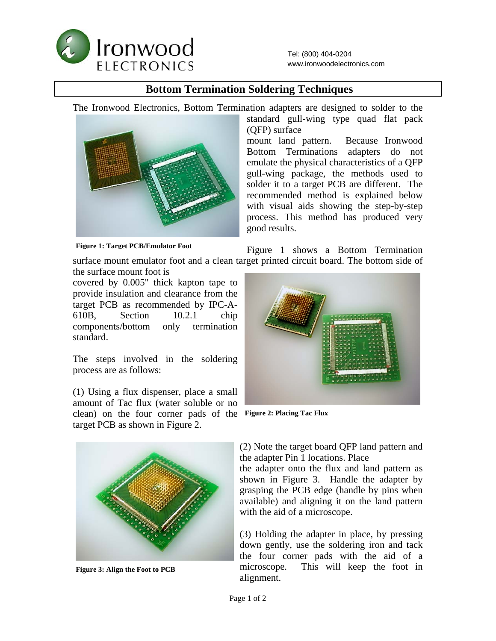

## **Bottom Termination Soldering Techniques**

The Ironwood Electronics, Bottom Termination adapters are designed to solder to the



standard gull-wing type quad flat pack (QFP) surface mount land pattern. Because Ironwood Bottom Terminations adapters do not emulate the physical characteristics of a QFP

gull-wing package, the methods used to solder it to a target PCB are different. The recommended method is explained below with visual aids showing the step-by-step process. This method has produced very good results.

**Figure 1: Target PCB/Emulator Foot** 

Figure 1 shows a Bottom Termination surface mount emulator foot and a clean target printed circuit board. The bottom side of

the surface mount foot is covered by 0.005" thick kapton tape to provide insulation and clearance from the target PCB as recommended by IPC-A-610B, Section 10.2.1 chip components/bottom only termination standard.

The steps involved in the soldering process are as follows:

(1) Using a flux dispenser, place a small amount of Tac flux (water soluble or no clean) on the four corner pads of the **Figure 2: Placing Tac Flux**  target PCB as shown in Figure 2.



**Figure 3: Align the Foot to PCB** 



(2) Note the target board QFP land pattern and the adapter Pin 1 locations. Place

the adapter onto the flux and land pattern as shown in Figure 3. Handle the adapter by grasping the PCB edge (handle by pins when available) and aligning it on the land pattern with the aid of a microscope.

(3) Holding the adapter in place, by pressing down gently, use the soldering iron and tack the four corner pads with the aid of a microscope. This will keep the foot in alignment.